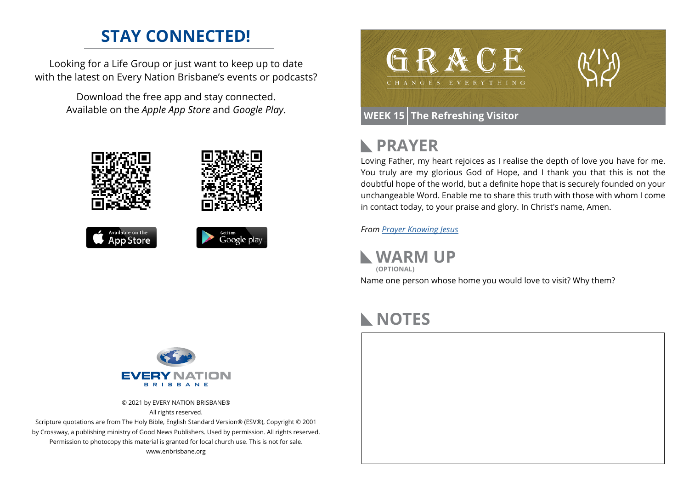#### **STAY CONNECTED!**

Looking for a Life Group or just want to keep up to date with the latest on Every Nation Brisbane's events or podcasts?

> Download the free app and stay connected. Available on the *Apple App Store* and *Google Play*.









#### **PRAYER**

Loving Father, my heart rejoices as I realise the depth of love you have for me. You truly are my glorious God of Hope, and I thank you that this is not the doubtful hope of the world, but a definite hope that is securely founded on your unchangeable Word. Enable me to share this truth with those with whom I come in contact today, to your praise and glory. In Christ's name, Amen.

*From [Prayer](https://prayer.knowing-jesus.com/Romans/15) Knowing Jesus*

**WARM UP** Name one person whose home you would love to visit? Why them? **(OPTIONAL)**

# **NOTES**





© 2021 by EVERY NATION BRISBANE® All rights reserved.

Scripture quotations are from The Holy Bible, English Standard Version® (ESV®), Copyright © 2001 by Crossway, a publishing ministry of Good News Publishers. Used by permission. All rights reserved. Permission to photocopy this material is granted for local church use. This is not for sale. www.enbrisbane.org